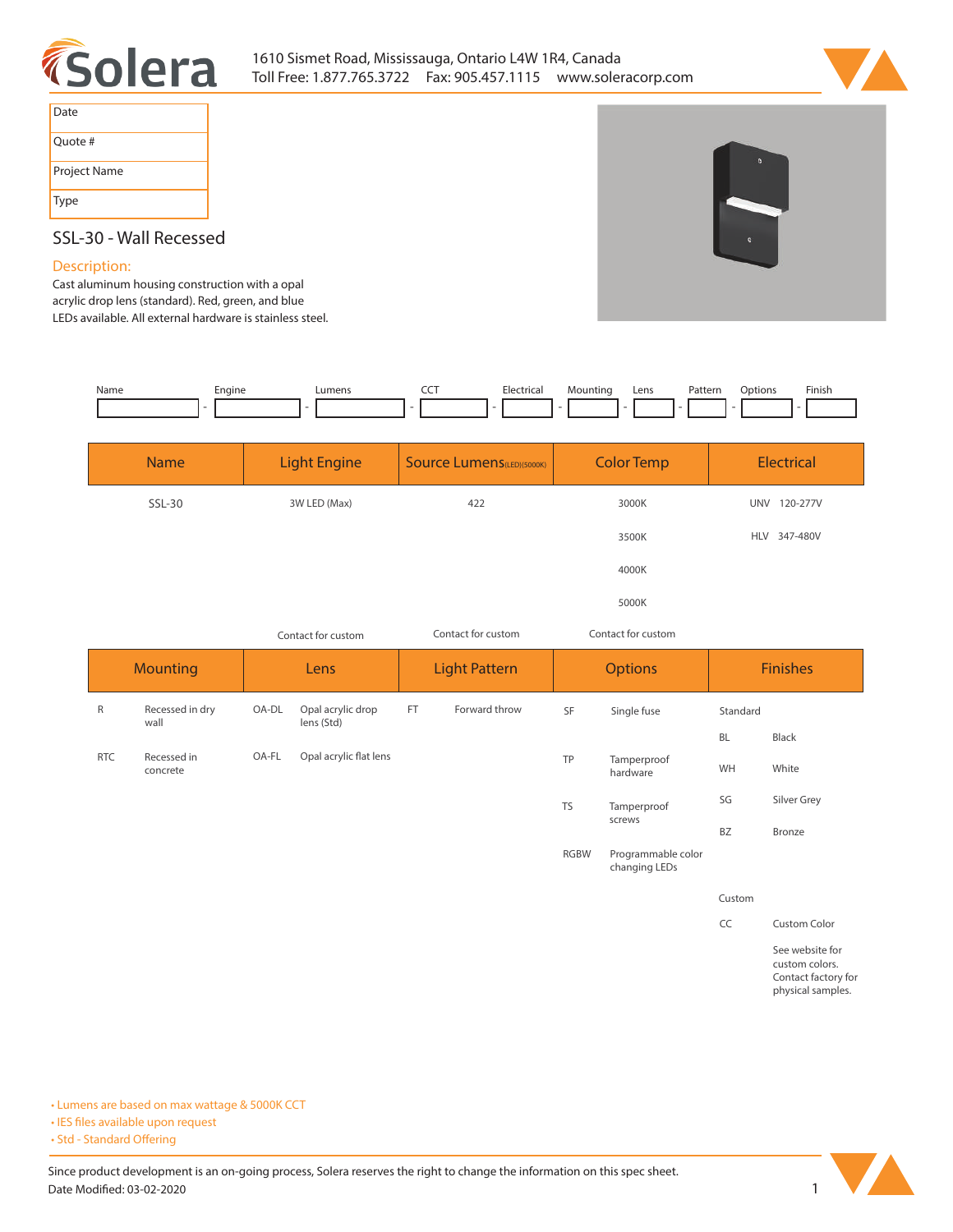



| Date         |
|--------------|
| Quote #      |
| Project Name |
| Type         |

# **SSL-30 - Wall Recessed**

## **Description:**

**Cast aluminum housing construction with a opal acrylic drop lens (standard). Red, green, and blue LEDs available. All external hardware is stainless steel.** 

| Name | Engine | Lumen:                   | Electrica. | Mountina<br>- - | Lens | Patterr<br>. | btions | Finish |
|------|--------|--------------------------|------------|-----------------|------|--------------|--------|--------|
|      |        | $\overline{\phantom{a}}$ | $\sim$     |                 |      |              |        |        |

| <b>Name</b> | <b>Light Engine</b> | Source Lumens(LED)(5000K) | <b>Color Temp</b> | Electrical             |
|-------------|---------------------|---------------------------|-------------------|------------------------|
| SSL-30      | 3W LED (Max)        | 422                       | 3000K             | 120-277V<br><b>UNV</b> |
|             |                     |                           | 3500K             | HLV 347-480V           |
|             |                     |                           | 4000K             |                        |
|             |                     |                           | 5000K             |                        |

|                 |                         | Contact for custom |                                 | Contact for custom   |               |                | Contact for custom                  |                 |                                                          |
|-----------------|-------------------------|--------------------|---------------------------------|----------------------|---------------|----------------|-------------------------------------|-----------------|----------------------------------------------------------|
| <b>Mounting</b> |                         | Lens               |                                 | <b>Light Pattern</b> |               | <b>Options</b> |                                     | <b>Finishes</b> |                                                          |
| R               | Recessed in dry<br>wall | OA-DL              | Opal acrylic drop<br>lens (Std) | FT.                  | Forward throw | SF             | Single fuse                         | Standard        |                                                          |
|                 |                         |                    |                                 |                      |               |                |                                     | <b>BL</b>       | Black                                                    |
| <b>RTC</b>      | Recessed in<br>concrete | OA-FL              | Opal acrylic flat lens          |                      |               | TP             | Tamperproof<br>hardware             | WH              | White                                                    |
|                 |                         |                    |                                 |                      |               | <b>TS</b>      | Tamperproof<br>screws               | SG              | Silver Grey                                              |
|                 |                         |                    |                                 |                      |               |                |                                     | <b>BZ</b>       | Bronze                                                   |
|                 |                         |                    |                                 |                      |               | <b>RGBW</b>    | Programmable color<br>changing LEDs |                 |                                                          |
|                 |                         |                    |                                 |                      |               |                |                                     | Custom          |                                                          |
|                 |                         |                    |                                 |                      |               |                |                                     | CC              | Custom Color                                             |
|                 |                         |                    |                                 |                      |               |                |                                     |                 | See website for<br>custom colors.<br>Contact factory for |

**• Lumens are based on max wattage & 5000K CCT**

**• IES files available upon request** 

• Std - Standard Offering

Since product development is an on-going process, Solera reserves the right to change the information on this spec sheet. **Date Modified: 03-02-2020** 1



**physical samples.**